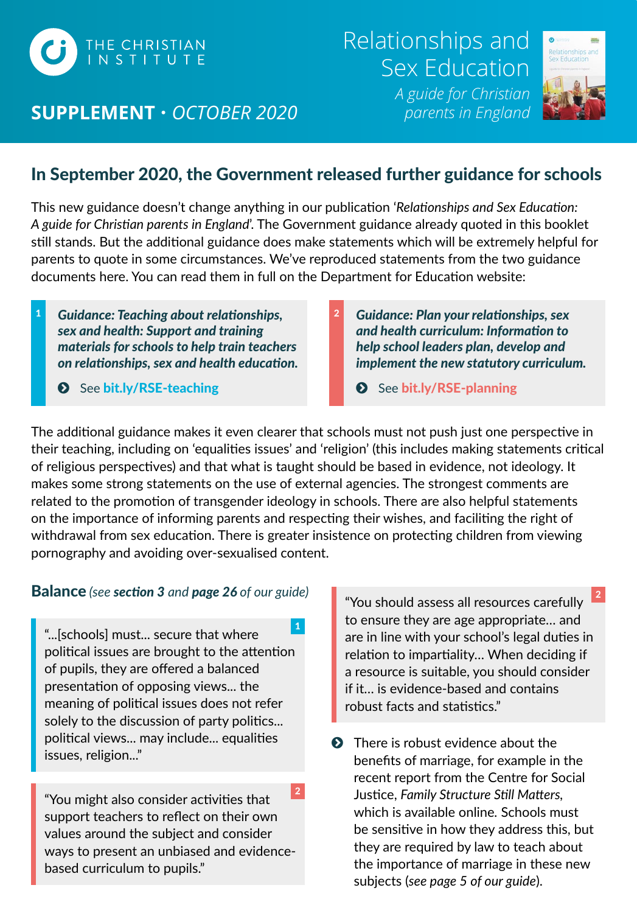

# **SUPPLEMENT**  *OCTOBER 2020 parents in England*

Relationships and Sex Education *A guide for Christian* 





# In September 2020, the Government released further guidance for schools

This new guidance doesn't change anything in our publication '*Relationships and Sex Education: A guide for Christian parents in England*'. The Government guidance already quoted in this booklet still stands. But the additional guidance does make statements which will be extremely helpful for parents to quote in some circumstances. We've reproduced statements from the two guidance documents here. You can read them in full on the Department for Education website:

- *Guidance: Teaching about relationships,*  1 *Guidance: Plan your relationships, sex sex and health: Support and training materials for schools to help train teachers on relationships, sex and health education.*
	- See [bit.ly/RSE-teaching](https://bit.ly/RSE-teaching)
- *and health curriculum: Information to help school leaders plan, develop and implement the new statutory curriculum.* 2
	- See [bit.ly/RSE-planning](https://bit.ly/RSE-planning)

The additional guidance makes it even clearer that schools must not push just one perspective in their teaching, including on 'equalities issues' and 'religion' (this includes making statements critical of religious perspectives) and that what is taught should be based in evidence, not ideology. It makes some strong statements on the use of external agencies. The strongest comments are related to the promotion of transgender ideology in schools. There are also helpful statements on the importance of informing parents and respecting their wishes, and faciliting the right of withdrawal from sex education. There is greater insistence on protecting children from viewing pornography and avoiding over-sexualised content.

#### Balance *(see section 3 and page 26 of our guide)*

"...[schools] must... secure that where political issues are brought to the attention of pupils, they are offered a balanced presentation of opposing views... the meaning of political issues does not refer solely to the discussion of party politics... political views... may include... equalities issues, religion..."

"You might also consider activities that support teachers to reflect on their own values around the subject and consider ways to present an unbiased and evidencebased curriculum to pupils." 2 "You should assess all resources carefully to ensure they are age appropriate… and are in line with your school's legal duties in relation to impartiality… When deciding if a resource is suitable, you should consider if it… is evidence-based and contains robust facts and statistics." 2

**O** There is robust evidence about the benefits of marriage, for example in the recent report from the Centre for Social Justice, *Family Structure Still Matters,*  which is available online*.* Schools must be sensitive in how they address this, but they are required by law to teach about the importance of marriage in these new subjects (*see page 5 of our guide*).